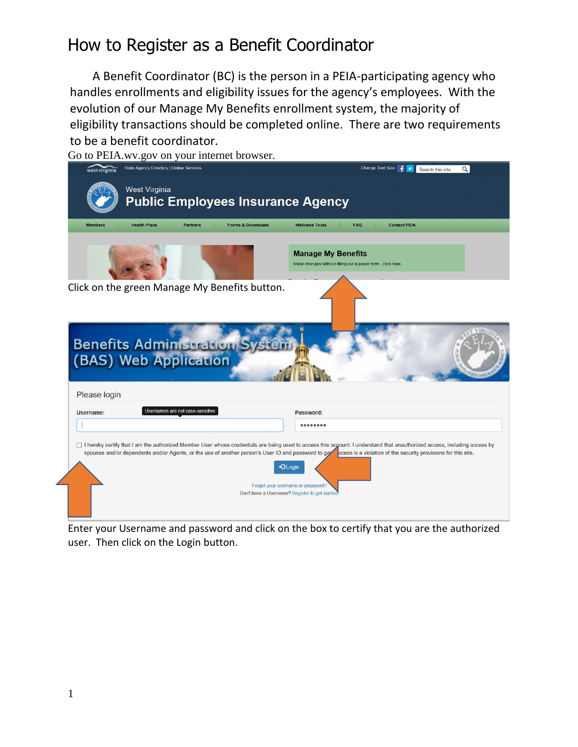## How to Register as a Benefit Coordinator

A Benefit Coordinator (BC) is the person in a PEIA-participating agency who handles enrollments and eligibility issues for the agency's employees. With the evolution of our Manage My Benefits enrollment system, the majority of eligibility transactions should be completed online. There are two requirements to be a benefit coordinator.



Enter your Username and password and click on the box to certify that you are the authorized user. Then click on the Login button.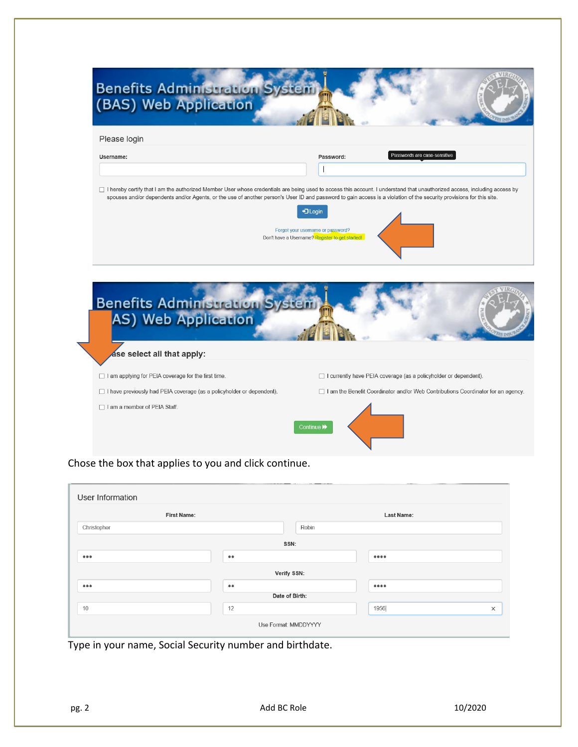| Please login                                                                                                           |                                                                                                                                                                                                                                                                          |
|------------------------------------------------------------------------------------------------------------------------|--------------------------------------------------------------------------------------------------------------------------------------------------------------------------------------------------------------------------------------------------------------------------|
| Username:                                                                                                              | Passwords are case-sensitive<br>Password:                                                                                                                                                                                                                                |
|                                                                                                                        | spouses and/or dependents and/or Agents, or the use of another person's User ID and password to gain access is a violation of the security provisions for this site.<br>+3 Login<br>Forgot your username or password?<br>Don't have a Username? Register to get started! |
|                                                                                                                        |                                                                                                                                                                                                                                                                          |
| ase select all that apply:                                                                                             |                                                                                                                                                                                                                                                                          |
| <b>Benefits Administration Sy</b><br>AS) Web Application<br>$\Box$ I am applying for PEIA coverage for the first time. | $\Box$ I currently have PEIA coverage (as a policyholder or dependent).                                                                                                                                                                                                  |

Chose the box that applies to you and click continue.

|                         | <b>First Name:</b> |                | <b>Last Name:</b>              |  |
|-------------------------|--------------------|----------------|--------------------------------|--|
| Christopher             |                    | Robin          |                                |  |
|                         |                    | SSN:           |                                |  |
| $\bullet\bullet\bullet$ | $\bullet\bullet$   |                | 0000                           |  |
|                         |                    | Verify SSN:    |                                |  |
| $\bullet\bullet\bullet$ | $\bullet\bullet$   |                | $\bullet\bullet\bullet\bullet$ |  |
|                         |                    | Date of Birth: |                                |  |
|                         |                    |                |                                |  |

Type in your name, Social Security number and birthdate.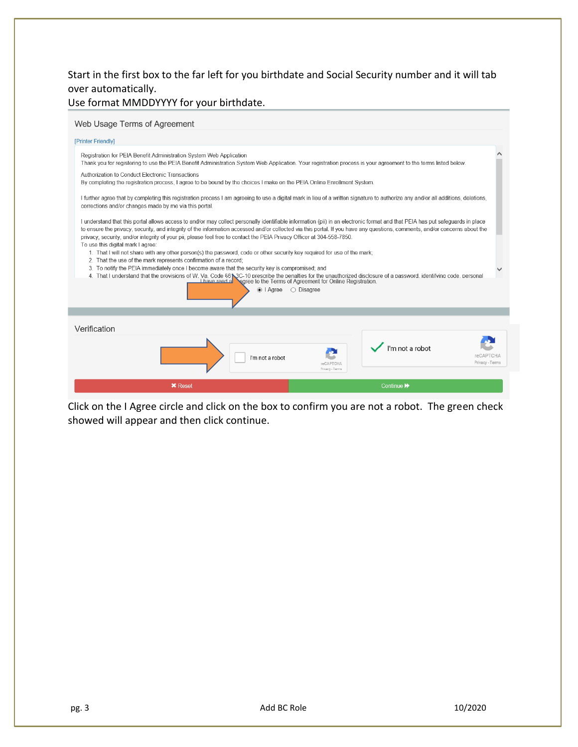Start in the first box to the far left for you birthdate and Social Security number and it will tab over automatically.

Use format MMDDYYYY for your birthdate.

| Web Usage Terms of Agreement |  |
|------------------------------|--|
|                              |  |

| [Printer Friendly]                                                                                                                                                                                                                                                                                                                                                                                                                                                                                                                                                                                                                                                                                                                                                                                                                                                                                                                                                                                                                                                                                                                    |                                     |
|---------------------------------------------------------------------------------------------------------------------------------------------------------------------------------------------------------------------------------------------------------------------------------------------------------------------------------------------------------------------------------------------------------------------------------------------------------------------------------------------------------------------------------------------------------------------------------------------------------------------------------------------------------------------------------------------------------------------------------------------------------------------------------------------------------------------------------------------------------------------------------------------------------------------------------------------------------------------------------------------------------------------------------------------------------------------------------------------------------------------------------------|-------------------------------------|
| Registration for PEIA Benefit Administration System Web Application<br>Thank you for registering to use the PEIA Benefit Administration System Web Application. Your registration process is your agreement to the terms listed below.                                                                                                                                                                                                                                                                                                                                                                                                                                                                                                                                                                                                                                                                                                                                                                                                                                                                                                |                                     |
| Authorization to Conduct Electronic Transactions<br>By completing the registration process, I agree to be bound by the choices I make on the PEIA Online Enrollment System.                                                                                                                                                                                                                                                                                                                                                                                                                                                                                                                                                                                                                                                                                                                                                                                                                                                                                                                                                           |                                     |
| I further agree that by completing this registration process I am agreeing to use a digital mark in lieu of a written signature to authorize any and/or all additions, deletions,<br>corrections and/or changes made by me via this portal.                                                                                                                                                                                                                                                                                                                                                                                                                                                                                                                                                                                                                                                                                                                                                                                                                                                                                           |                                     |
| I understand that this portal allows access to and/or may collect personally identifiable information (pii) in an electronic format and that PEIA has put safeguards in place<br>to ensure the privacy, security, and integrity of the information accessed and/or collected via this portal. If you have any questions, comments, and/or concerns about the<br>privacy, security, and/or integrity of your pii, please feel free to contact the PEIA Privacy Officer at 304-558-7850.<br>To use this digital mark I agree:<br>1. That I will not share with any other person(s) the password, code or other security key required for use of the mark;<br>2. That the use of the mark represents confirmation of a record;<br>3. To notify the PEIA immediately once I become aware that the security key is compromised; and<br>4. That I understand that the provisions of W. Va. Code \$61,3C-10 prescribe the penalties for the unauthorized disclosure of a password. identifying code. personal<br>I have read a<br><b>Nagree to the Terms of Agreement for Online Registration.</b><br>$\odot$   Agree<br>$\bigcirc$ Disagree |                                     |
|                                                                                                                                                                                                                                                                                                                                                                                                                                                                                                                                                                                                                                                                                                                                                                                                                                                                                                                                                                                                                                                                                                                                       |                                     |
| Verification                                                                                                                                                                                                                                                                                                                                                                                                                                                                                                                                                                                                                                                                                                                                                                                                                                                                                                                                                                                                                                                                                                                          |                                     |
| I'm not a robot<br>I'm not a robot<br><b>reCAPTCHA</b><br>Privacy - Terms                                                                                                                                                                                                                                                                                                                                                                                                                                                                                                                                                                                                                                                                                                                                                                                                                                                                                                                                                                                                                                                             | <b>reCAPTCHA</b><br>Privacy - Terms |
| <b>X</b> Reset<br>Continue >>                                                                                                                                                                                                                                                                                                                                                                                                                                                                                                                                                                                                                                                                                                                                                                                                                                                                                                                                                                                                                                                                                                         |                                     |

Click on the I Agree circle and click on the box to confirm you are not a robot. The green check showed will appear and then click continue.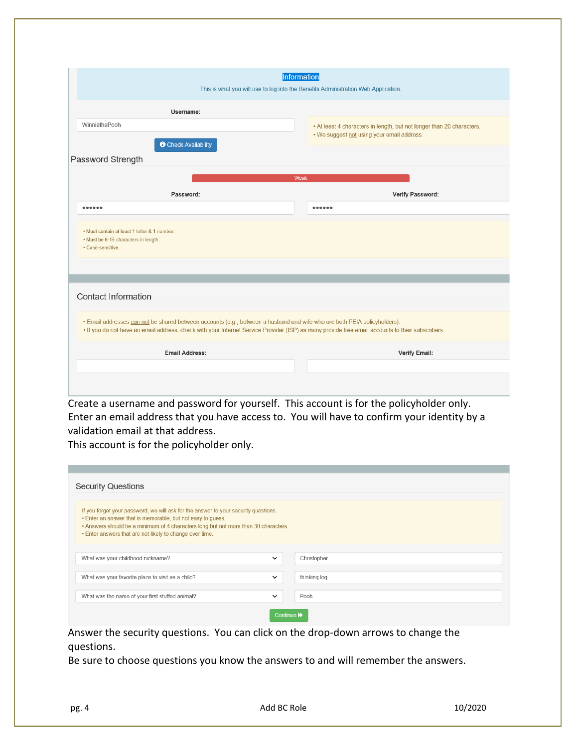|                                                                                                           | <b>Information</b><br>This is what you will use to log into the Benefits Administration Web Application.                                                                                                                                                                     |
|-----------------------------------------------------------------------------------------------------------|------------------------------------------------------------------------------------------------------------------------------------------------------------------------------------------------------------------------------------------------------------------------------|
| Username:                                                                                                 |                                                                                                                                                                                                                                                                              |
| WinniethePooh                                                                                             | • At least 4 characters in length, but not longer than 20 characters.                                                                                                                                                                                                        |
| <b>O</b> Check Availability<br>Password Strength                                                          | . We suggest not using your email address.                                                                                                                                                                                                                                   |
|                                                                                                           | Weak                                                                                                                                                                                                                                                                         |
| Password:                                                                                                 | Verify Password:                                                                                                                                                                                                                                                             |
|                                                                                                           |                                                                                                                                                                                                                                                                              |
| • Must contain at least 1 letter & 1 number.<br>• Must be 6-15 characters in length.<br>· Case-sensitive. |                                                                                                                                                                                                                                                                              |
|                                                                                                           |                                                                                                                                                                                                                                                                              |
| <b>Contact Information</b>                                                                                |                                                                                                                                                                                                                                                                              |
|                                                                                                           | . Email addresses can not be shared between accounts (e.g., between a husband and wife who are both PEIA policyholders).<br>. If you do not have an email address, check with your Internet Service Provider (ISP) as many provide free email accounts to their subscribers. |
| <b>Email Address:</b>                                                                                     | <b>Verify Email:</b>                                                                                                                                                                                                                                                         |
|                                                                                                           |                                                                                                                                                                                                                                                                              |

Create a username and password for yourself. This account is for the policyholder only. Enter an email address that you have access to. You will have to confirm your identity by a validation email at that address.

This account is for the policyholder only.

| <b>Security Questions</b>                                                                                                                                                                                                                                                                             |              |              |
|-------------------------------------------------------------------------------------------------------------------------------------------------------------------------------------------------------------------------------------------------------------------------------------------------------|--------------|--------------|
| If you forget your password, we will ask for the answer to your security questions.<br>• Enter an answer that is memorable, but not easy to quess.<br>. Answers should be a minimum of 4 characters long but not more than 30 characters.<br>. Enter answers that are not likely to change over time. |              |              |
| What was your childhood nickname?                                                                                                                                                                                                                                                                     | $\checkmark$ | Christopher  |
| What was your favorite place to visit as a child?                                                                                                                                                                                                                                                     | $\checkmark$ | thinking log |
| What was the name of your first stuffed animal?                                                                                                                                                                                                                                                       | $\checkmark$ | Pooh         |
|                                                                                                                                                                                                                                                                                                       | Continue M   |              |

Answer the security questions. You can click on the drop-down arrows to change the questions.

Be sure to choose questions you know the answers to and will remember the answers.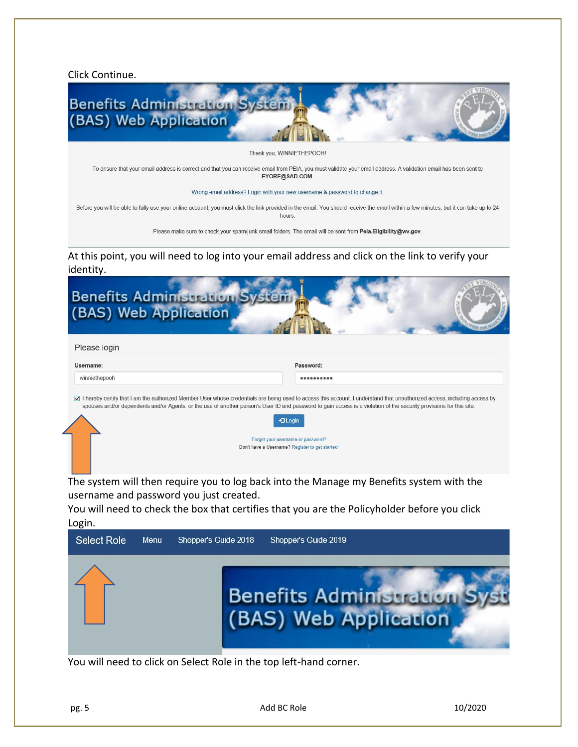Click Continue.



Thank you. WINNIETHEPOOH

To ensure that your email address is correct and that you can receive email from PEIA, you must validate your email address. A validation email has been sent to EYORE@SAD.COM.

Wrong email address? Login with your new username & password to change it.

Before you will be able to fully use your online account, you must click the link provided in the email. You should receive the email within a few minutes, but it can take up to 24 hours.

Please make sure to check your spam/junk email folders. The email will be sent from Peia.Eligibility@wv.gov.

At this point, you will need to log into your email address and click on the link to verify your identity.

| Please login  |                                                                                                                                                                                                                                                                                                                                                     |
|---------------|-----------------------------------------------------------------------------------------------------------------------------------------------------------------------------------------------------------------------------------------------------------------------------------------------------------------------------------------------------|
| Username:     | Password:                                                                                                                                                                                                                                                                                                                                           |
| winniethepooh |                                                                                                                                                                                                                                                                                                                                                     |
|               | 7 I hereby certify that I am the authorized Member User whose credentials are being used to access this account. I understand that unauthorized access, including access by<br>spouses and/or dependents and/or Agents, or the use of another person's User ID and password to gain access is a violation of the security provisions for this site. |

You will need to check the box that certifies that you are the Policyholder before you click Login.



You will need to click on Select Role in the top left-hand corner.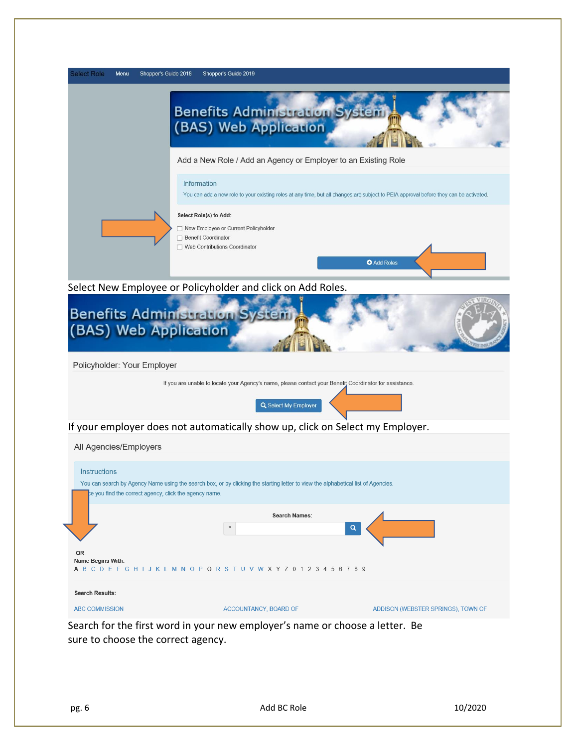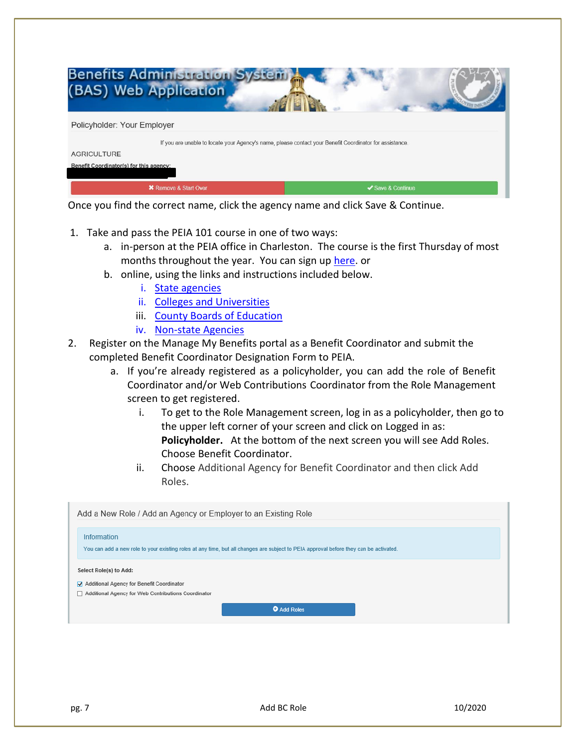

Once you find the correct name, click the agency name and click Save & Continue.

- 1. Take and pass the PEIA 101 course in one of two ways:
	- a. in-person at the PEIA office in Charleston. The course is the first Thursday of most months throughout the year. You can sign u[p here.](https://peia.wv.gov/Pages/training_request.aspx) or
	- b. online, using the links and instructions included below.
		- i. [State agencies](http://www.peia.wv.gov/benefit_coordinators/on-line-courses/Pages/Online-PEIA-101-for-State-Agencies.aspx)
		- ii. [Colleges and Universities](http://www.peia.wv.gov/benefit_coordinators/on-line-courses/Pages/Online-PEIA-101-for-Colleges-and-Universities.aspx)
		- iii. [County Boards of Education](http://www.peia.wv.gov/benefit_coordinators/on-line-courses/Pages/Online-PEIA-101-for-County-Boards-of-Education-and-Non-state-Agencies.aspx)
		- iv. [Non-state Agencies](http://www.peia.wv.gov/benefit_coordinators/on-line-courses/Pages/Online-PEIA-101-for-County-Boards-of-Education-and-Non-state-Agencies.aspx)
- 2. Register on the Manage My Benefits portal as a Benefit Coordinator and submit the completed Benefit Coordinator Designation Form to PEIA.
	- a. If you're already registered as a policyholder, you can add the role of Benefit Coordinator and/or Web Contributions Coordinator from the Role Management screen to get registered.
		- i. To get to the Role Management screen, log in as a policyholder, then go to the upper left corner of your screen and click on Logged in as: **Policyholder.** At the bottom of the next screen you will see Add Roles. Choose Benefit Coordinator.
		- ii. Choose Additional Agency for Benefit Coordinator and then click Add Roles.

| Add a New Role / Add an Agency or Employer to an Existing Role                                                                                       |
|------------------------------------------------------------------------------------------------------------------------------------------------------|
| Information<br>You can add a new role to your existing roles at any time, but all changes are subject to PEIA approval before they can be activated. |
| Select Role(s) to Add:<br>√ Additional Agency for Benefit Coordinator<br>Additional Agency for Web Contributions Coordinator                         |
| <b>O</b> Add Roles                                                                                                                                   |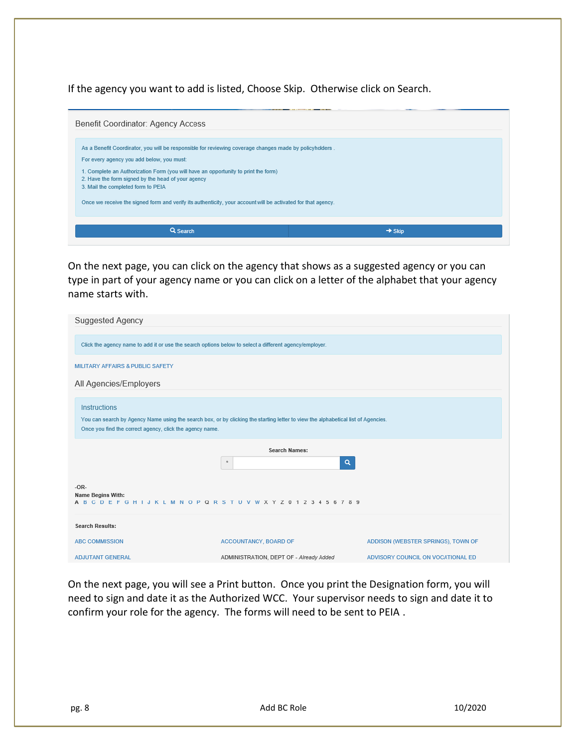If the agency you want to add is listed, Choose Skip. Otherwise click on Search.



On the next page, you can click on the agency that shows as a suggested agency or you can type in part of your agency name or you can click on a letter of the alphabet that your agency name starts with.

| <b>Suggested Agency</b>                                                                                       |                                                                                                                                   |                                    |  |  |
|---------------------------------------------------------------------------------------------------------------|-----------------------------------------------------------------------------------------------------------------------------------|------------------------------------|--|--|
| Click the agency name to add it or use the search options below to select a different agency/employer.        |                                                                                                                                   |                                    |  |  |
| MILITARY AFFAIRS & PUBLIC SAFETY                                                                              |                                                                                                                                   |                                    |  |  |
| All Agencies/Employers                                                                                        |                                                                                                                                   |                                    |  |  |
| <b>Instructions</b><br>Once you find the correct agency, click the agency name.                               | You can search by Agency Name using the search box, or by clicking the starting letter to view the alphabetical list of Agencies. |                                    |  |  |
|                                                                                                               | <b>Search Names:</b><br>$\alpha$<br>$\pmb{\times}$                                                                                |                                    |  |  |
| $-OR-$<br><b>Name Begins With:</b><br>A B C D E F G H I J K L M N O P Q R S T U V W X Y Z 0 1 2 3 4 5 6 7 8 9 |                                                                                                                                   |                                    |  |  |
| <b>Search Results:</b>                                                                                        |                                                                                                                                   |                                    |  |  |
| <b>ABC COMMISSION</b>                                                                                         | ACCOUNTANCY, BOARD OF                                                                                                             | ADDISON (WEBSTER SPRINGS), TOWN OF |  |  |
| <b>ADJUTANT GENERAL</b>                                                                                       | ADMINISTRATION, DEPT OF - Already Added                                                                                           | ADVISORY COUNCIL ON VOCATIONAL ED  |  |  |

On the next page, you will see a Print button. Once you print the Designation form, you will need to sign and date it as the Authorized WCC. Your supervisor needs to sign and date it to confirm your role for the agency. The forms will need to be sent to PEIA .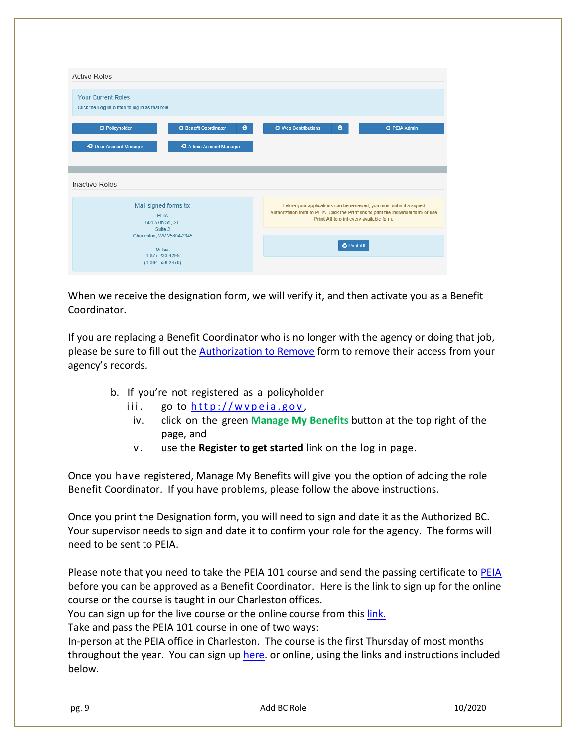| <b>Active Roles</b>                                                          |                          |                                                                                                                                                                                                        |
|------------------------------------------------------------------------------|--------------------------|--------------------------------------------------------------------------------------------------------------------------------------------------------------------------------------------------------|
| <b>Your Current Roles</b><br>Click the Log In button to log in as that role. |                          |                                                                                                                                                                                                        |
| +3 Benefit Coordinator<br>+3 Policyholder                                    | $\bullet$                | → I Web Contributions<br>٠<br>+3 PEIA Admin                                                                                                                                                            |
| +D User Account Manager                                                      | +3 Admin Account Manager |                                                                                                                                                                                                        |
|                                                                              |                          |                                                                                                                                                                                                        |
| <b>Inactive Roles</b>                                                        |                          |                                                                                                                                                                                                        |
| Mail signed forms to:<br>PFIA<br>601 57th St., SE<br>Suite 2                 |                          | Before your applications can be reviewed, you must submit a signed<br>Authorization form to PEIA. Click the Print link to print the individual form or use<br>Print All to print every available form. |

When we receive the designation form, we will verify it, and then activate you as a Benefit Coordinator.

If you are replacing a Benefit Coordinator who is no longer with the agency or doing that job, please be sure to fill out the **Authorization to Remove** form to remove their access from your agency's records.

- b. If you're not registered as a policyholder
	- iii. go to  $http://wvpeia.gov,$
	- iv. click on the green **Manage My Benefits** button at the top right of the page, and
	- v . use the **Register to get started** link on the log in page.

Once you have registered, Manage My Benefits will give you the option of adding the role Benefit Coordinator. If you have problems, please follow the above instructions.

Once you print the Designation form, you will need to sign and date it as the Authorized BC. Your supervisor needs to sign and date it to confirm your role for the agency. The forms will need to be sent to PEIA.

Please note that you need to take the [PEIA](mailto:Susan.j.bevins@wv.gov) 101 course and send the passing certificate to PEIA before you can be approved as a Benefit Coordinator. Here is the link to sign up for the online course or the course is taught in our Charleston offices.

You can sign up for the live course or the online course from this [link.](https://peia.wv.gov/benefit_coordinators/Pages/PEIA-101.aspx) 

Take and pass the PEIA 101 course in one of two ways:

In-person at the PEIA office in Charleston. The course is the first Thursday of most months throughout the year. You can sign up [here.](https://peia.wv.gov/Pages/training_request.aspx) or online, using the links and instructions included below.